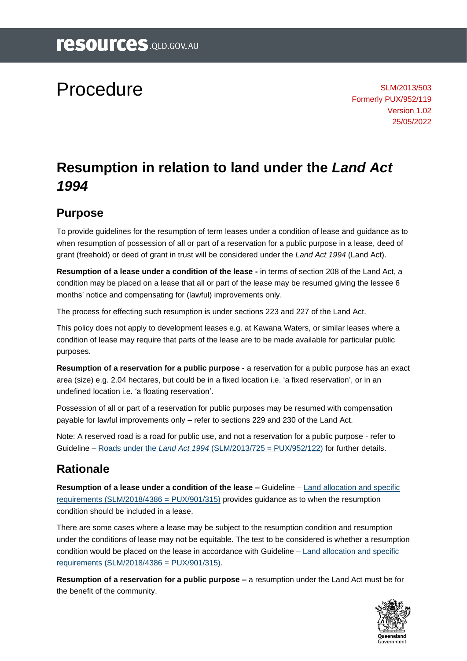# Procedure

SLM/2013/503 Formerly PUX/952/119 Version 1.02 25/05/2022

# **Resumption in relation to land under the** *Land Act 1994*

#### **Purpose**

To provide guidelines for the resumption of term leases under a condition of lease and guidance as to when resumption of possession of all or part of a reservation for a public purpose in a lease, deed of grant (freehold) or deed of grant in trust will be considered under the *Land Act 1994* (Land Act).

**Resumption of a lease under a condition of the lease -** in terms of section 208 of the Land Act, a condition may be placed on a lease that all or part of the lease may be resumed giving the lessee 6 months' notice and compensating for (lawful) improvements only.

The process for effecting such resumption is under sections 223 and 227 of the Land Act.

This policy does not apply to development leases e.g. at Kawana Waters, or similar leases where a condition of lease may require that parts of the lease are to be made available for particular public purposes.

**Resumption of a reservation for a public purpose -** a reservation for a public purpose has an exact area (size) e.g. 2.04 hectares, but could be in a fixed location i.e. 'a fixed reservation', or in an undefined location i.e. 'a floating reservation'.

Possession of all or part of a reservation for public purposes may be resumed with compensation payable for lawful improvements only – refer to sections 229 and 230 of the Land Act.

Note: A reserved road is a road for public use, and not a reservation for a public purpose - refer to Guideline – Roads under the *Land Act 1994* [\(SLM/2013/725 = PUX/952/122\)](https://www.resources.qld.gov.au/?a=109113:policy_registry/roads-under-land-act.pdf&ver=5.00) for further details.

# **Rationale**

**Resumption of a lease under a condition of the lease –** Guideline – [Land allocation and specific](https://www.resources.qld.gov.au/?a=109113:policy_registry/land-allocation-specific-requirements.pdf&ver=1.01)  [requirements \(SLM/2018/4386 = PUX/901/315\)](https://www.resources.qld.gov.au/?a=109113:policy_registry/land-allocation-specific-requirements.pdf&ver=1.01) provides guidance as to when the resumption condition should be included in a lease.

There are some cases where a lease may be subject to the resumption condition and resumption under the conditions of lease may not be equitable. The test to be considered is whether a resumption condition would be placed on the lease in accordance with Guideline – [Land allocation and specific](https://www.resources.qld.gov.au/?a=109113:policy_registry/land-allocation-specific-requirements.pdf&ver=1.01)  [requirements \(SLM/2018/4386 = PUX/901/315\).](https://www.resources.qld.gov.au/?a=109113:policy_registry/land-allocation-specific-requirements.pdf&ver=1.01)

**Resumption of a reservation for a public purpose –** a resumption under the Land Act must be for the benefit of the community.

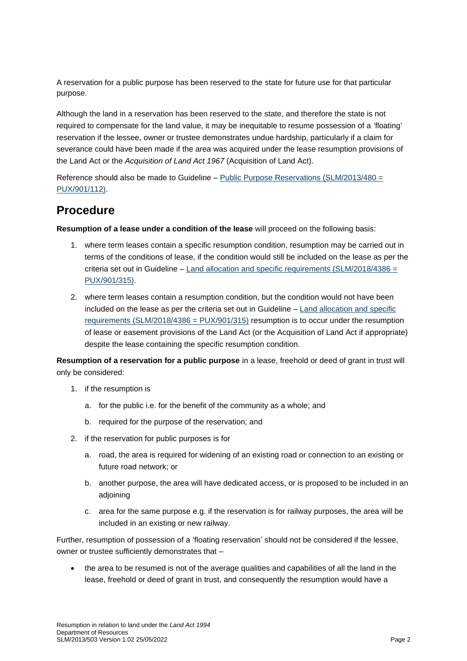A reservation for a public purpose has been reserved to the state for future use for that particular purpose.

Although the land in a reservation has been reserved to the state, and therefore the state is not required to compensate for the land value, it may be inequitable to resume possession of a 'floating' reservation if the lessee, owner or trustee demonstrates undue hardship, particularly if a claim for severance could have been made if the area was acquired under the lease resumption provisions of the Land Act or the *Acquisition of Land Act 1967* (Acquisition of Land Act).

Reference should also be made to Guideline – [Public Purpose Reservations \(SLM/2013/480 =](https://www.resources.qld.gov.au/?a=109113:policy_registry/public-purpose-reservations.pdf&ver=3.00)  [PUX/901/112\).](https://www.resources.qld.gov.au/?a=109113:policy_registry/public-purpose-reservations.pdf&ver=3.00)

#### **Procedure**

**Resumption of a lease under a condition of the lease** will proceed on the following basis:

- 1. where term leases contain a specific resumption condition, resumption may be carried out in terms of the conditions of lease, if the condition would still be included on the lease as per the criteria set out in Guideline – [Land allocation and specific requirements \(SLM/2018/4386 =](https://www.resources.qld.gov.au/?a=109113:policy_registry/land-allocation-specific-requirements.pdf&ver=1.01)  [PUX/901/315\).](https://www.resources.qld.gov.au/?a=109113:policy_registry/land-allocation-specific-requirements.pdf&ver=1.01)
- 2. where term leases contain a resumption condition, but the condition would not have been included on the lease as per the criteria set out in Guideline – [Land allocation and specific](https://www.resources.qld.gov.au/?a=109113:policy_registry/land-allocation-specific-requirements.pdf&ver=1.01)  [requirements \(SLM/2018/4386 = PUX/901/315\)](https://www.resources.qld.gov.au/?a=109113:policy_registry/land-allocation-specific-requirements.pdf&ver=1.01) resumption is to occur under the resumption of lease or easement provisions of the Land Act (or the Acquisition of Land Act if appropriate) despite the lease containing the specific resumption condition.

**Resumption of a reservation for a public purpose** in a lease, freehold or deed of grant in trust will only be considered:

- 1. if the resumption is
	- a. for the public i.e. for the benefit of the community as a whole; and
	- b. required for the purpose of the reservation; and
- 2. if the reservation for public purposes is for
	- a. road, the area is required for widening of an existing road or connection to an existing or future road network; or
	- b. another purpose, the area will have dedicated access, or is proposed to be included in an adjoining
	- c. area for the same purpose e.g. if the reservation is for railway purposes, the area will be included in an existing or new railway.

Further, resumption of possession of a 'floating reservation' should not be considered if the lessee, owner or trustee sufficiently demonstrates that –

• the area to be resumed is not of the average qualities and capabilities of all the land in the lease, freehold or deed of grant in trust, and consequently the resumption would have a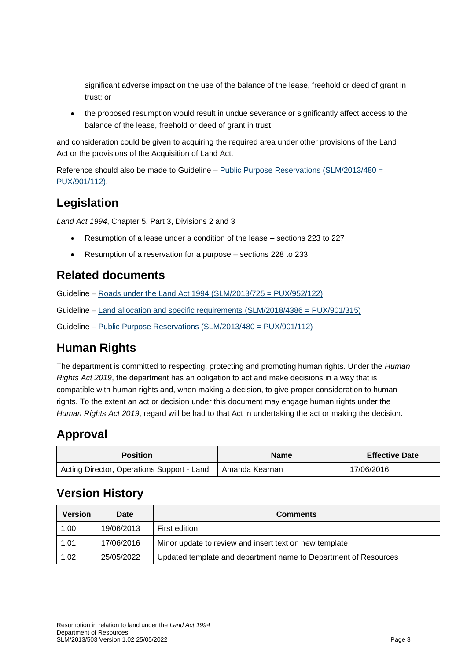significant adverse impact on the use of the balance of the lease, freehold or deed of grant in trust; or

• the proposed resumption would result in undue severance or significantly affect access to the balance of the lease, freehold or deed of grant in trust

and consideration could be given to acquiring the required area under other provisions of the Land Act or the provisions of the Acquisition of Land Act.

Reference should also be made to Guideline – [Public Purpose Reservations \(SLM/2013/480 =](https://www.resources.qld.gov.au/?a=109113:policy_registry/public-purpose-reservations.pdf&ver=3.00)  [PUX/901/112\).](https://www.resources.qld.gov.au/?a=109113:policy_registry/public-purpose-reservations.pdf&ver=3.00)

#### **Legislation**

*Land Act 1994*, Chapter 5, Part 3, Divisions 2 and 3

- Resumption of a lease under a condition of the lease sections 223 to 227
- Resumption of a reservation for a purpose sections 228 to 233

#### **Related documents**

Guideline – [Roads under the Land Act 1994 \(SLM/2013/725 = PUX/952/122\)](https://www.resources.qld.gov.au/?a=109113%3Apolicy_registry%2Froads-under-land-act.pdf)

Guideline – [Land allocation and specific requirements \(SLM/2018/4386 = PUX/901/315\)](https://www.resources.qld.gov.au/?a=109113:policy_registry/land-allocation-specific-requirements.pdf&ver=1.01)

Guideline – [Public Purpose Reservations \(SLM/2013/480 = PUX/901/112\)](https://www.resources.qld.gov.au/?a=109113:policy_registry/public-purpose-reservations.pdf&ver=3.00)

# **Human Rights**

The department is committed to respecting, protecting and promoting human rights. Under the *Human Rights Act 2019*, the department has an obligation to act and make decisions in a way that is compatible with human rights and, when making a decision, to give proper consideration to human rights. To the extent an act or decision under this document may engage human rights under the *Human Rights Act 2019*, regard will be had to that Act in undertaking the act or making the decision.

# **Approval**

| <b>Position</b>                            | <b>Name</b>      | <b>Effective Date</b> |
|--------------------------------------------|------------------|-----------------------|
| Acting Director, Operations Support - Land | l Amanda Kearnan | 17/06/2016            |

# **Version History**

| <b>Version</b> | <b>Date</b> | <b>Comments</b>                                                 |
|----------------|-------------|-----------------------------------------------------------------|
| 1.00           | 19/06/2013  | First edition                                                   |
| 1.01           | 17/06/2016  | Minor update to review and insert text on new template          |
| 1.02           | 25/05/2022  | Updated template and department name to Department of Resources |